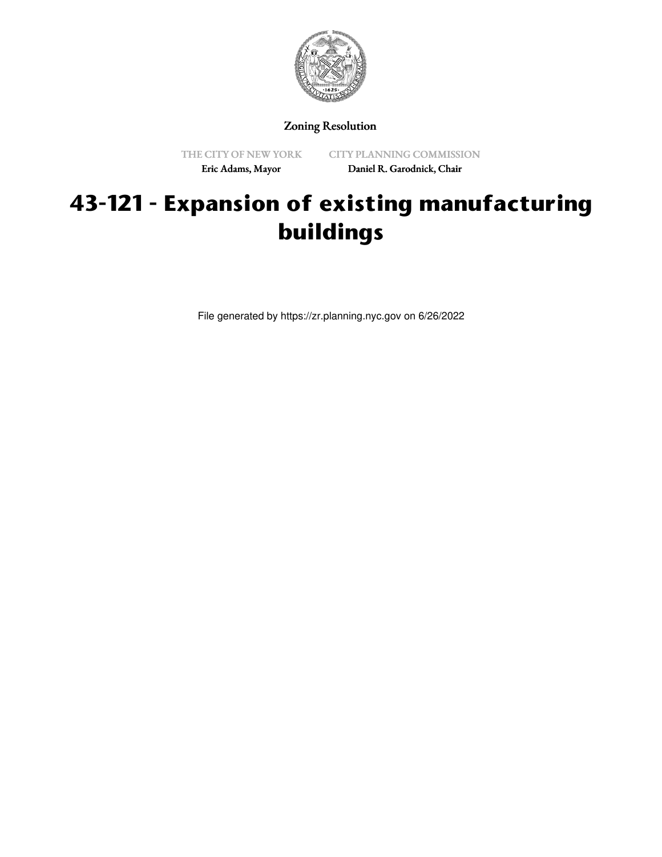

Zoning Resolution

THE CITY OF NEW YORK Eric Adams, Mayor

CITY PLANNING COMMISSION Daniel R. Garodnick, Chair

## **43-121 - Expansion of existing manufacturing buildings**

File generated by https://zr.planning.nyc.gov on 6/26/2022